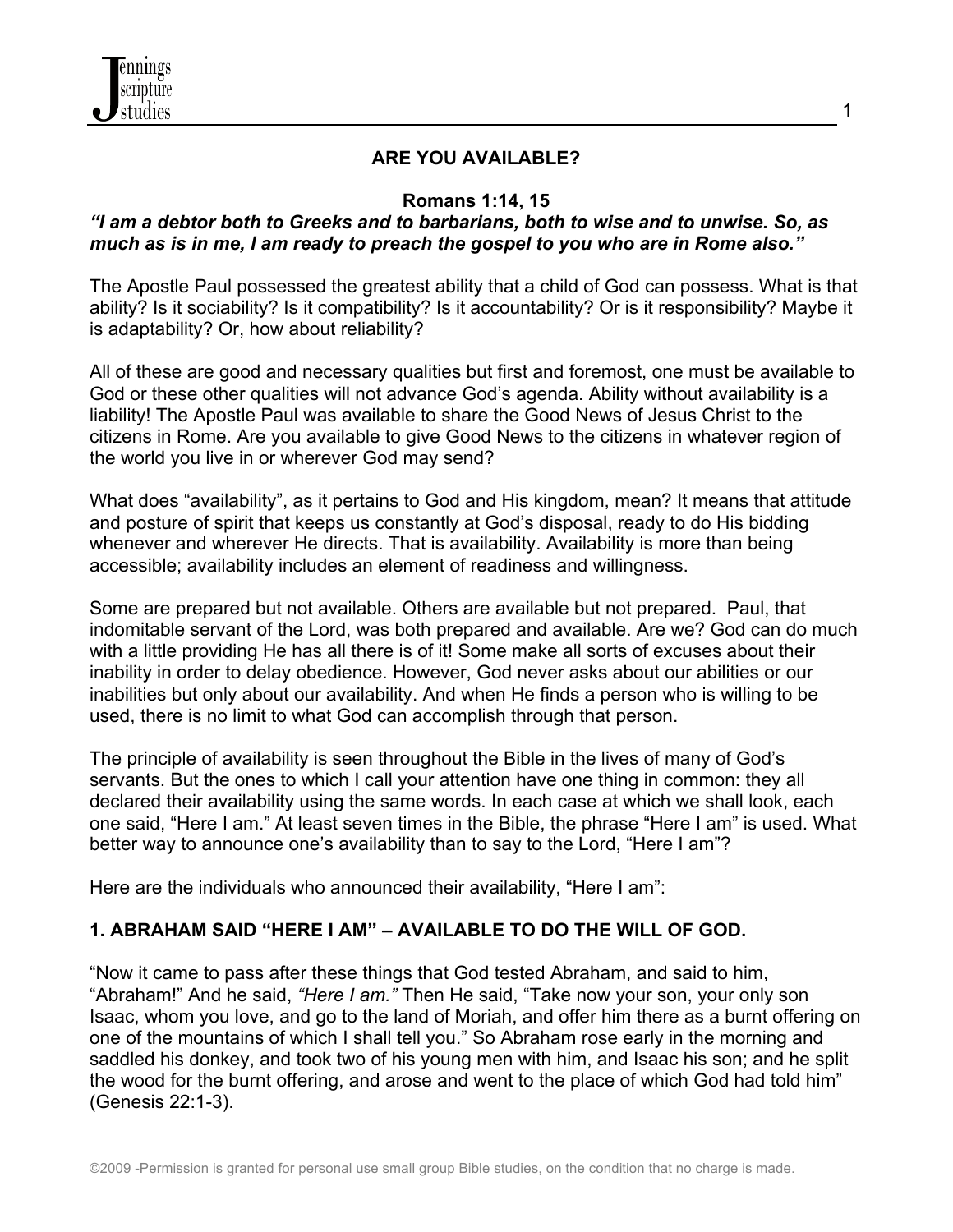

#### **ARE YOU AVAILABLE?**

#### **Romans 1:14, 15**

#### *"I am a debtor both to Greeks and to barbarians, both to wise and to unwise. So, as much as is in me, I am ready to preach the gospel to you who are in Rome also."*

The Apostle Paul possessed the greatest ability that a child of God can possess. What is that ability? Is it sociability? Is it compatibility? Is it accountability? Or is it responsibility? Maybe it is adaptability? Or, how about reliability?

All of these are good and necessary qualities but first and foremost, one must be available to God or these other qualities will not advance God's agenda. Ability without availability is a liability! The Apostle Paul was available to share the Good News of Jesus Christ to the citizens in Rome. Are you available to give Good News to the citizens in whatever region of the world you live in or wherever God may send?

What does "availability", as it pertains to God and His kingdom, mean? It means that attitude and posture of spirit that keeps us constantly at God's disposal, ready to do His bidding whenever and wherever He directs. That is availability. Availability is more than being accessible; availability includes an element of readiness and willingness.

Some are prepared but not available. Others are available but not prepared. Paul, that indomitable servant of the Lord, was both prepared and available. Are we? God can do much with a little providing He has all there is of it! Some make all sorts of excuses about their inability in order to delay obedience. However, God never asks about our abilities or our inabilities but only about our availability. And when He finds a person who is willing to be used, there is no limit to what God can accomplish through that person.

The principle of availability is seen throughout the Bible in the lives of many of God's servants. But the ones to which I call your attention have one thing in common: they all declared their availability using the same words. In each case at which we shall look, each one said, "Here I am." At least seven times in the Bible, the phrase "Here I am" is used. What better way to announce one's availability than to say to the Lord, "Here I am"?

Here are the individuals who announced their availability, "Here I am":

### **1. ABRAHAM SAID "HERE I AM" – AVAILABLE TO DO THE WILL OF GOD.**

"Now it came to pass after these things that God tested Abraham, and said to him, "Abraham!" And he said, *"Here I am."* Then He said, "Take now your son, your only son Isaac, whom you love, and go to the land of Moriah, and offer him there as a burnt offering on one of the mountains of which I shall tell you." So Abraham rose early in the morning and saddled his donkey, and took two of his young men with him, and Isaac his son; and he split the wood for the burnt offering, and arose and went to the place of which God had told him" (Genesis 22:1-3).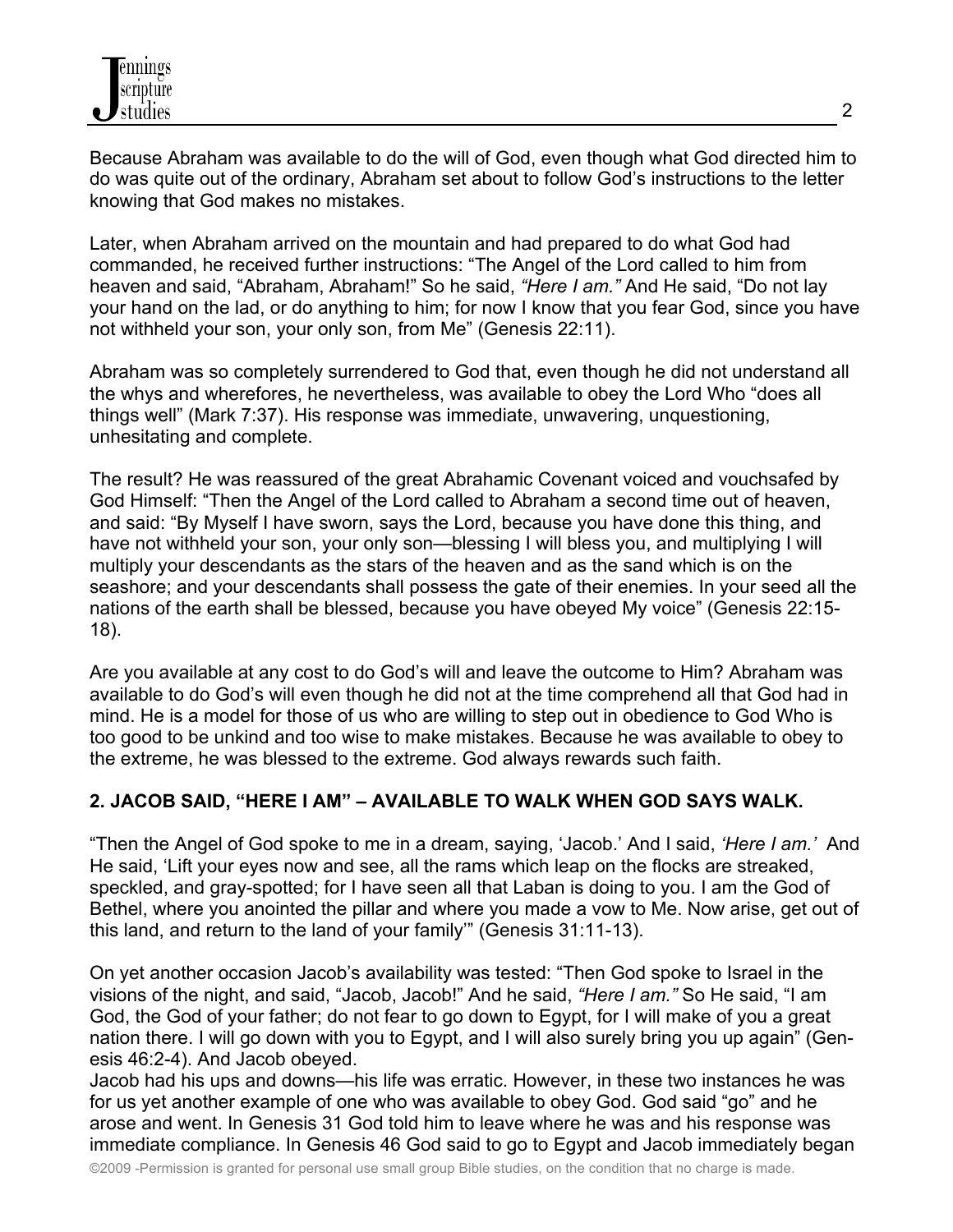Because Abraham was available to do the will of God, even though what God directed him to do was quite out of the ordinary, Abraham set about to follow God's instructions to the letter knowing that God makes no mistakes.

Later, when Abraham arrived on the mountain and had prepared to do what God had commanded, he received further instructions: "The Angel of the Lord called to him from heaven and said, "Abraham, Abraham!" So he said, *"Here I am."* And He said, "Do not lay your hand on the lad, or do anything to him; for now I know that you fear God, since you have not withheld your son, your only son, from Me" (Genesis 22:11).

Abraham was so completely surrendered to God that, even though he did not understand all the whys and wherefores, he nevertheless, was available to obey the Lord Who "does all things well" (Mark 7:37). His response was immediate, unwavering, unquestioning, unhesitating and complete.

The result? He was reassured of the great Abrahamic Covenant voiced and vouchsafed by God Himself: "Then the Angel of the Lord called to Abraham a second time out of heaven, and said: "By Myself I have sworn, says the Lord, because you have done this thing, and have not withheld your son, your only son—blessing I will bless you, and multiplying I will multiply your descendants as the stars of the heaven and as the sand which is on the seashore; and your descendants shall possess the gate of their enemies. In your seed all the nations of the earth shall be blessed, because you have obeyed My voice" (Genesis 22:15- 18).

Are you available at any cost to do God's will and leave the outcome to Him? Abraham was available to do God's will even though he did not at the time comprehend all that God had in mind. He is a model for those of us who are willing to step out in obedience to God Who is too good to be unkind and too wise to make mistakes. Because he was available to obey to the extreme, he was blessed to the extreme. God always rewards such faith.

# **2. JACOB SAID, "HERE I AM" – AVAILABLE TO WALK WHEN GOD SAYS WALK.**

"Then the Angel of God spoke to me in a dream, saying, 'Jacob.' And I said, *'Here I am.'* And He said, 'Lift your eyes now and see, all the rams which leap on the flocks are streaked, speckled, and gray-spotted; for I have seen all that Laban is doing to you. I am the God of Bethel, where you anointed the pillar and where you made a vow to Me. Now arise, get out of this land, and return to the land of your family'" (Genesis 31:11-13).

On yet another occasion Jacob's availability was tested: "Then God spoke to Israel in the visions of the night, and said, "Jacob, Jacob!" And he said, *"Here I am."* So He said, "I am God, the God of your father; do not fear to go down to Egypt, for I will make of you a great nation there. I will go down with you to Egypt, and I will also surely bring you up again" (Genesis 46:2-4). And Jacob obeyed.

Jacob had his ups and downs—his life was erratic. However, in these two instances he was for us yet another example of one who was available to obey God. God said "go" and he arose and went. In Genesis 31 God told him to leave where he was and his response was immediate compliance. In Genesis 46 God said to go to Egypt and Jacob immediately began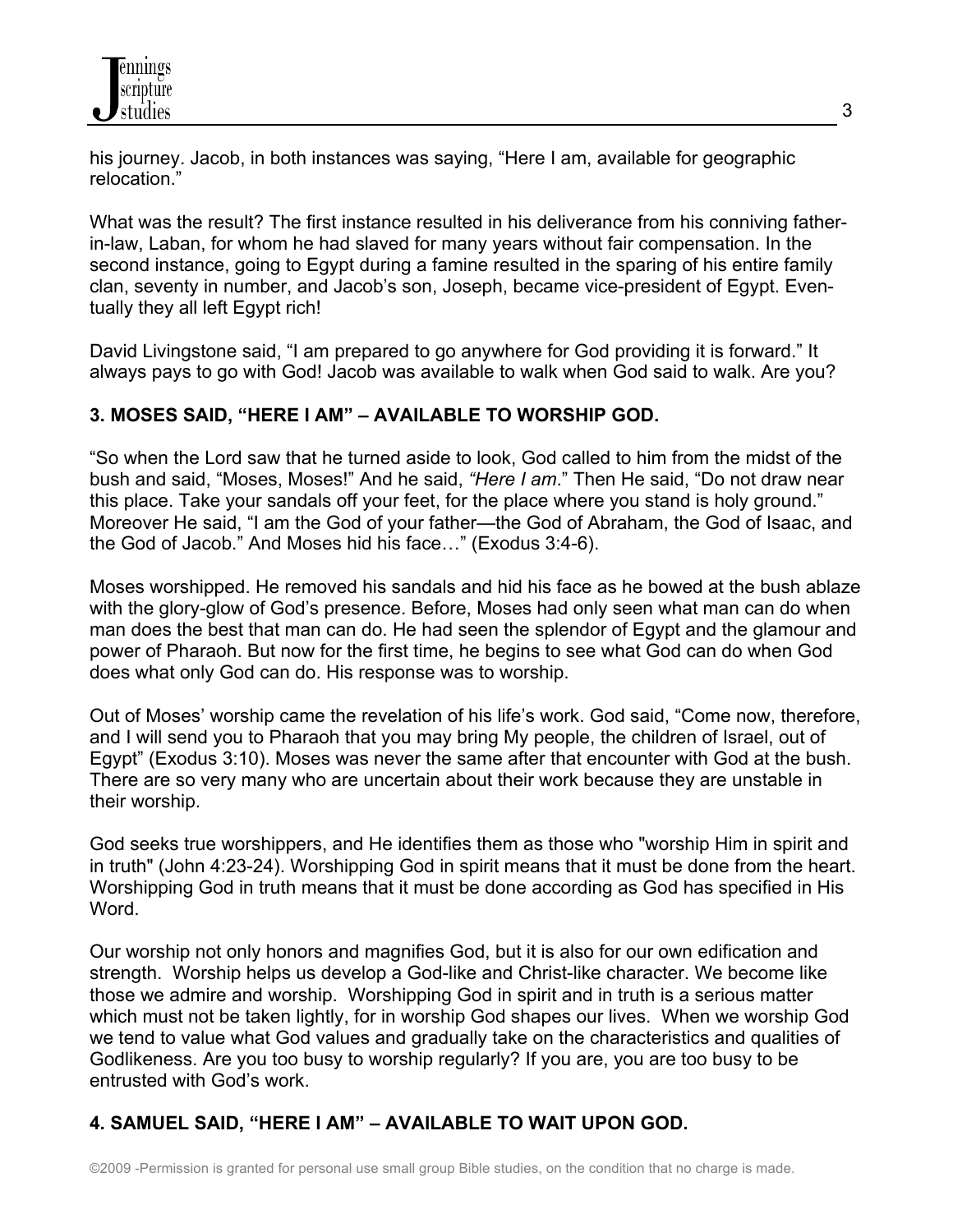his journey. Jacob, in both instances was saying, "Here I am, available for geographic relocation."

What was the result? The first instance resulted in his deliverance from his conniving fatherin-law, Laban, for whom he had slaved for many years without fair compensation. In the second instance, going to Egypt during a famine resulted in the sparing of his entire family clan, seventy in number, and Jacob's son, Joseph, became vice-president of Egypt. Eventually they all left Egypt rich!

David Livingstone said, "I am prepared to go anywhere for God providing it is forward." It always pays to go with God! Jacob was available to walk when God said to walk. Are you?

### **3. MOSES SAID, "HERE I AM" – AVAILABLE TO WORSHIP GOD.**

"So when the Lord saw that he turned aside to look, God called to him from the midst of the bush and said, "Moses, Moses!" And he said, *"Here I am*." Then He said, "Do not draw near this place. Take your sandals off your feet, for the place where you stand is holy ground." Moreover He said, "I am the God of your father—the God of Abraham, the God of Isaac, and the God of Jacob." And Moses hid his face…" (Exodus 3:4-6).

Moses worshipped. He removed his sandals and hid his face as he bowed at the bush ablaze with the glory-glow of God's presence. Before, Moses had only seen what man can do when man does the best that man can do. He had seen the splendor of Egypt and the glamour and power of Pharaoh. But now for the first time, he begins to see what God can do when God does what only God can do. His response was to worship.

Out of Moses' worship came the revelation of his life's work. God said, "Come now, therefore, and I will send you to Pharaoh that you may bring My people, the children of Israel, out of Egypt" (Exodus 3:10). Moses was never the same after that encounter with God at the bush. There are so very many who are uncertain about their work because they are unstable in their worship.

God seeks true worshippers, and He identifies them as those who "worship Him in spirit and in truth" (John 4:23-24). Worshipping God in spirit means that it must be done from the heart. Worshipping God in truth means that it must be done according as God has specified in His Word.

Our worship not only honors and magnifies God, but it is also for our own edification and strength. Worship helps us develop a God-like and Christ-like character. We become like those we admire and worship. Worshipping God in spirit and in truth is a serious matter which must not be taken lightly, for in worship God shapes our lives. When we worship God we tend to value what God values and gradually take on the characteristics and qualities of Godlikeness. Are you too busy to worship regularly? If you are, you are too busy to be entrusted with God's work.

# **4. SAMUEL SAID, "HERE I AM" – AVAILABLE TO WAIT UPON GOD.**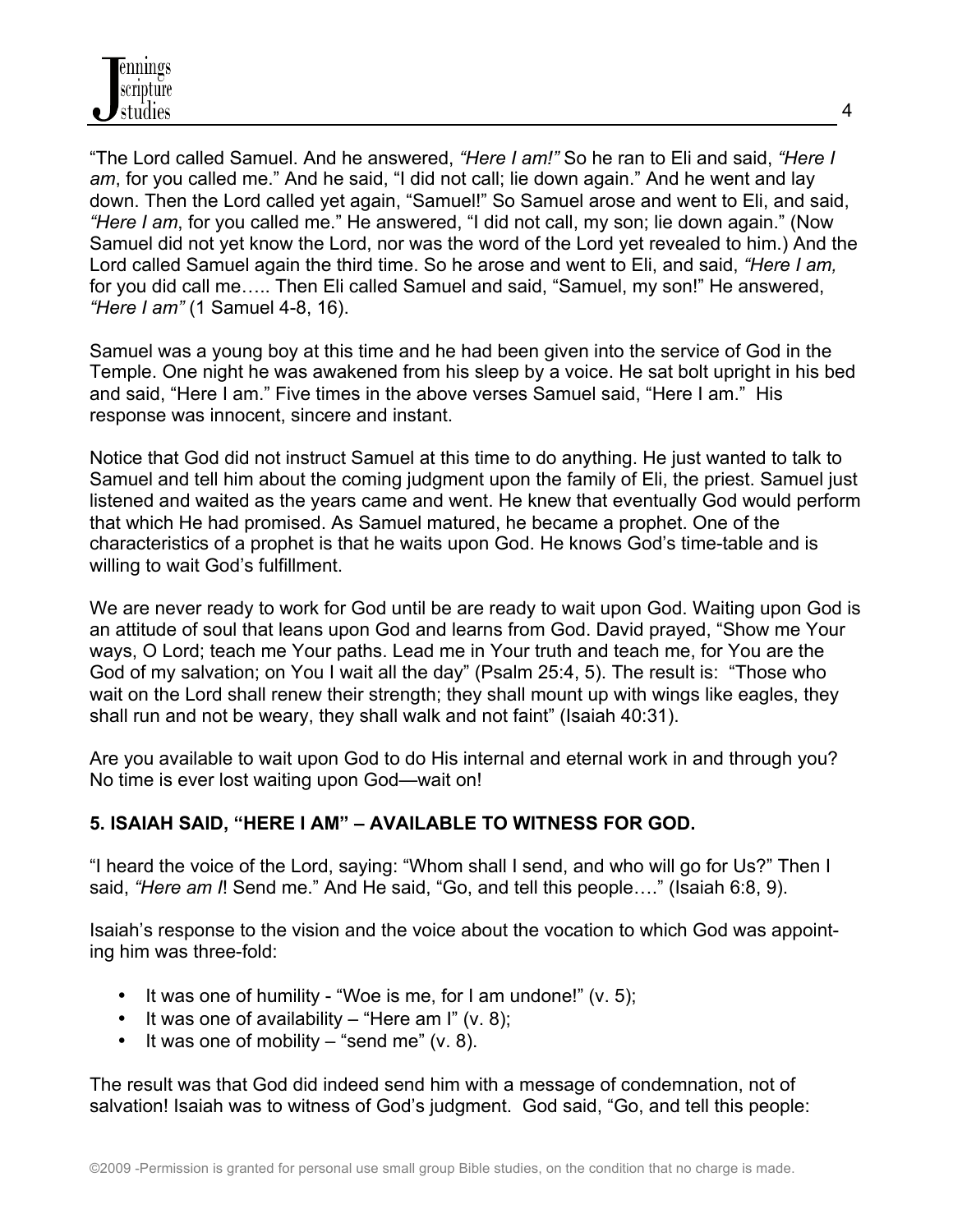"The Lord called Samuel. And he answered, *"Here I am!"* So he ran to Eli and said, *"Here I am*, for you called me." And he said, "I did not call; lie down again." And he went and lay down. Then the Lord called yet again, "Samuel!" So Samuel arose and went to Eli, and said, *"Here I am*, for you called me." He answered, "I did not call, my son; lie down again." (Now Samuel did not yet know the Lord, nor was the word of the Lord yet revealed to him.) And the Lord called Samuel again the third time. So he arose and went to Eli, and said, *"Here I am,* for you did call me….. Then Eli called Samuel and said, "Samuel, my son!" He answered, *"Here I am"* (1 Samuel 4-8, 16).

Samuel was a young boy at this time and he had been given into the service of God in the Temple. One night he was awakened from his sleep by a voice. He sat bolt upright in his bed and said, "Here I am." Five times in the above verses Samuel said, "Here I am." His response was innocent, sincere and instant.

Notice that God did not instruct Samuel at this time to do anything. He just wanted to talk to Samuel and tell him about the coming judgment upon the family of Eli, the priest. Samuel just listened and waited as the years came and went. He knew that eventually God would perform that which He had promised. As Samuel matured, he became a prophet. One of the characteristics of a prophet is that he waits upon God. He knows God's time-table and is willing to wait God's fulfillment.

We are never ready to work for God until be are ready to wait upon God. Waiting upon God is an attitude of soul that leans upon God and learns from God. David prayed, "Show me Your ways, O Lord; teach me Your paths. Lead me in Your truth and teach me, for You are the God of my salvation; on You I wait all the day" (Psalm 25:4, 5). The result is: "Those who wait on the Lord shall renew their strength; they shall mount up with wings like eagles, they shall run and not be weary, they shall walk and not faint" (Isaiah 40:31).

Are you available to wait upon God to do His internal and eternal work in and through you? No time is ever lost waiting upon God—wait on!

### **5. ISAIAH SAID, "HERE I AM" – AVAILABLE TO WITNESS FOR GOD.**

"I heard the voice of the Lord, saying: "Whom shall I send, and who will go for Us?" Then I said, *"Here am I*! Send me." And He said, "Go, and tell this people…." (Isaiah 6:8, 9).

Isaiah's response to the vision and the voice about the vocation to which God was appointing him was three-fold:

- It was one of humility "Woe is me, for I am undone!" (v. 5);
- It was one of availability "Here am I" (v. 8);
- It was one of mobility  $-$  "send me" (v. 8).

The result was that God did indeed send him with a message of condemnation, not of salvation! Isaiah was to witness of God's judgment. God said, "Go, and tell this people: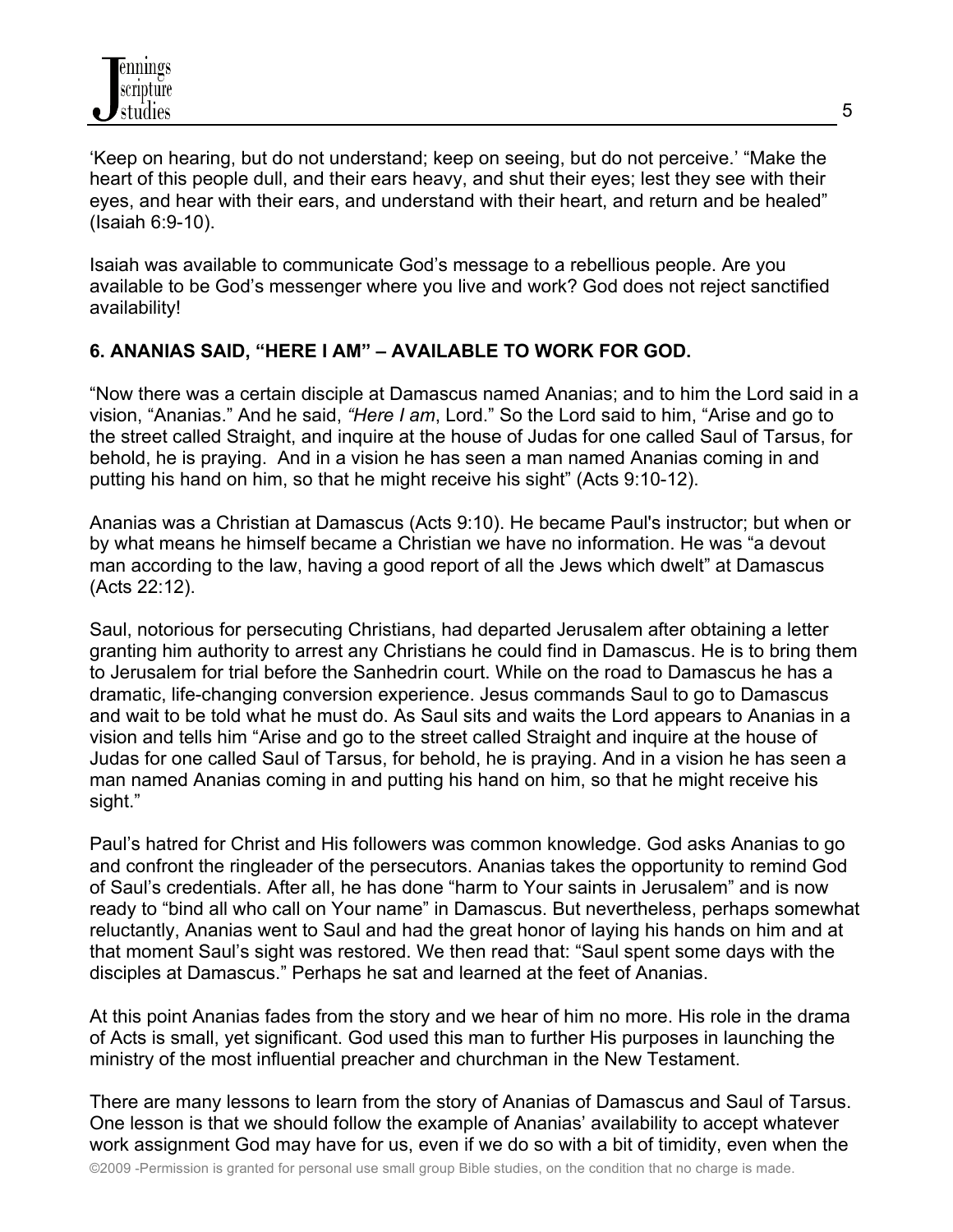'Keep on hearing, but do not understand; keep on seeing, but do not perceive.' "Make the heart of this people dull, and their ears heavy, and shut their eyes; lest they see with their eyes, and hear with their ears, and understand with their heart, and return and be healed" (Isaiah 6:9-10).

Isaiah was available to communicate God's message to a rebellious people. Are you available to be God's messenger where you live and work? God does not reject sanctified availability!

### **6. ANANIAS SAID, "HERE I AM" – AVAILABLE TO WORK FOR GOD.**

"Now there was a certain disciple at Damascus named Ananias; and to him the Lord said in a vision, "Ananias." And he said, *"Here I am*, Lord." So the Lord said to him, "Arise and go to the street called Straight, and inquire at the house of Judas for one called Saul of Tarsus, for behold, he is praying. And in a vision he has seen a man named Ananias coming in and putting his hand on him, so that he might receive his sight" (Acts 9:10-12).

Ananias was a Christian at Damascus (Acts 9:10). He became Paul's instructor; but when or by what means he himself became a Christian we have no information. He was "a devout man according to the law, having a good report of all the Jews which dwelt" at Damascus (Acts 22:12).

Saul, notorious for persecuting Christians, had departed Jerusalem after obtaining a letter granting him authority to arrest any Christians he could find in Damascus. He is to bring them to Jerusalem for trial before the Sanhedrin court. While on the road to Damascus he has a dramatic, life-changing conversion experience. Jesus commands Saul to go to Damascus and wait to be told what he must do. As Saul sits and waits the Lord appears to Ananias in a vision and tells him "Arise and go to the street called Straight and inquire at the house of Judas for one called Saul of Tarsus, for behold, he is praying. And in a vision he has seen a man named Ananias coming in and putting his hand on him, so that he might receive his sight."

Paul's hatred for Christ and His followers was common knowledge. God asks Ananias to go and confront the ringleader of the persecutors. Ananias takes the opportunity to remind God of Saul's credentials. After all, he has done "harm to Your saints in Jerusalem" and is now ready to "bind all who call on Your name" in Damascus. But nevertheless, perhaps somewhat reluctantly, Ananias went to Saul and had the great honor of laying his hands on him and at that moment Saul's sight was restored. We then read that: "Saul spent some days with the disciples at Damascus." Perhaps he sat and learned at the feet of Ananias.

At this point Ananias fades from the story and we hear of him no more. His role in the drama of Acts is small, yet significant. God used this man to further His purposes in launching the ministry of the most influential preacher and churchman in the New Testament.

There are many lessons to learn from the story of Ananias of Damascus and Saul of Tarsus. One lesson is that we should follow the example of Ananias' availability to accept whatever work assignment God may have for us, even if we do so with a bit of timidity, even when the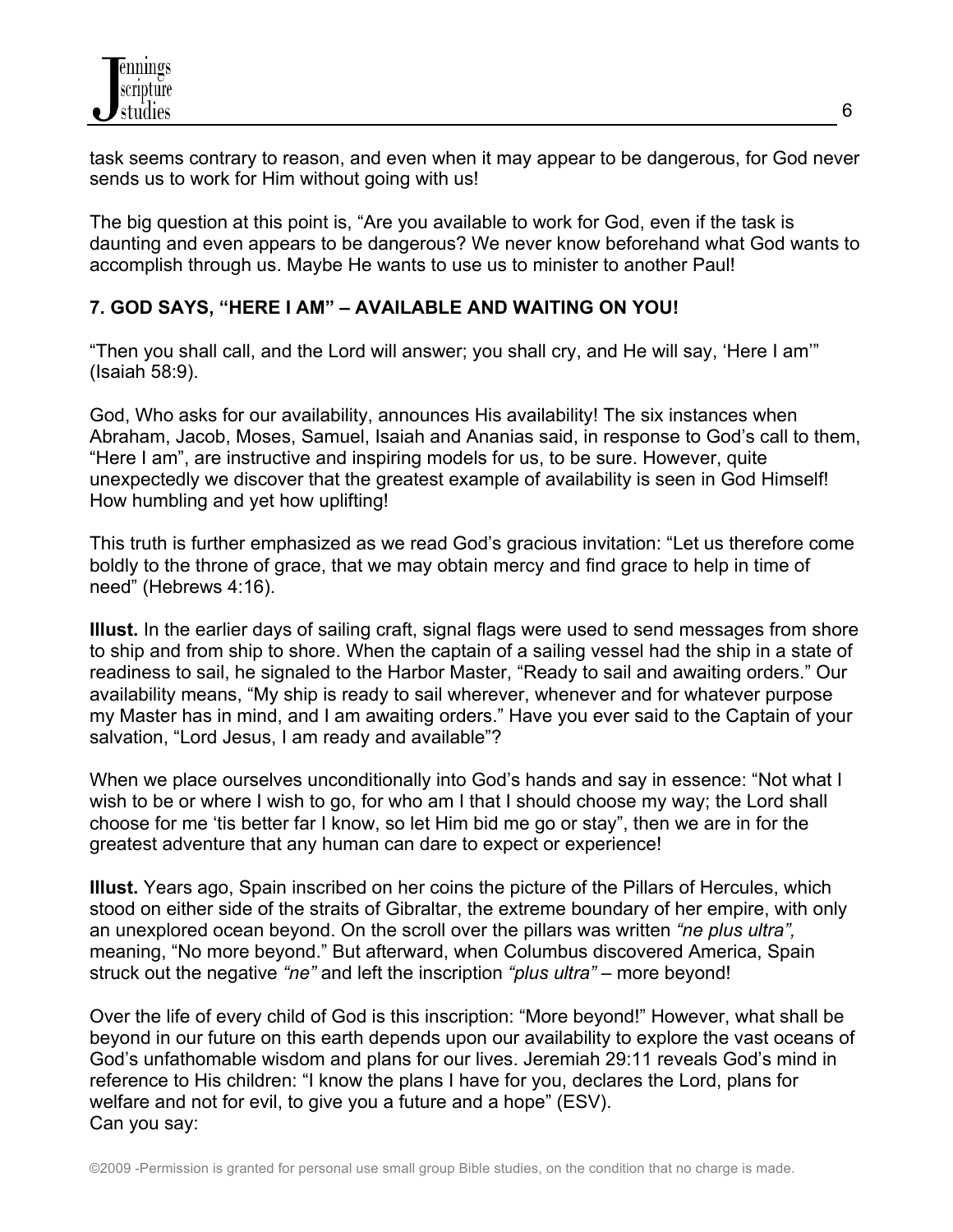task seems contrary to reason, and even when it may appear to be dangerous, for God never sends us to work for Him without going with us!

The big question at this point is, "Are you available to work for God, even if the task is daunting and even appears to be dangerous? We never know beforehand what God wants to accomplish through us. Maybe He wants to use us to minister to another Paul!

### **7. GOD SAYS, "HERE I AM" – AVAILABLE AND WAITING ON YOU!**

"Then you shall call, and the Lord will answer; you shall cry, and He will say, 'Here I am'" (Isaiah 58:9).

God, Who asks for our availability, announces His availability! The six instances when Abraham, Jacob, Moses, Samuel, Isaiah and Ananias said, in response to God's call to them, "Here I am", are instructive and inspiring models for us, to be sure. However, quite unexpectedly we discover that the greatest example of availability is seen in God Himself! How humbling and yet how uplifting!

This truth is further emphasized as we read God's gracious invitation: "Let us therefore come boldly to the throne of grace, that we may obtain mercy and find grace to help in time of need" (Hebrews 4:16).

**Illust.** In the earlier days of sailing craft, signal flags were used to send messages from shore to ship and from ship to shore. When the captain of a sailing vessel had the ship in a state of readiness to sail, he signaled to the Harbor Master, "Ready to sail and awaiting orders." Our availability means, "My ship is ready to sail wherever, whenever and for whatever purpose my Master has in mind, and I am awaiting orders." Have you ever said to the Captain of your salvation, "Lord Jesus, I am ready and available"?

When we place ourselves unconditionally into God's hands and say in essence: "Not what I wish to be or where I wish to go, for who am I that I should choose my way; the Lord shall choose for me 'tis better far I know, so let Him bid me go or stay", then we are in for the greatest adventure that any human can dare to expect or experience!

**Illust.** Years ago, Spain inscribed on her coins the picture of the Pillars of Hercules, which stood on either side of the straits of Gibraltar, the extreme boundary of her empire, with only an unexplored ocean beyond. On the scroll over the pillars was written *"ne plus ultra",* meaning, "No more beyond." But afterward, when Columbus discovered America, Spain struck out the negative *"ne"* and left the inscription *"plus ultra"* – more beyond!

Over the life of every child of God is this inscription: "More beyond!" However, what shall be beyond in our future on this earth depends upon our availability to explore the vast oceans of God's unfathomable wisdom and plans for our lives. Jeremiah 29:11 reveals God's mind in reference to His children: "I know the plans I have for you, declares the Lord, plans for welfare and not for evil, to give you a future and a hope" (ESV). Can you say: